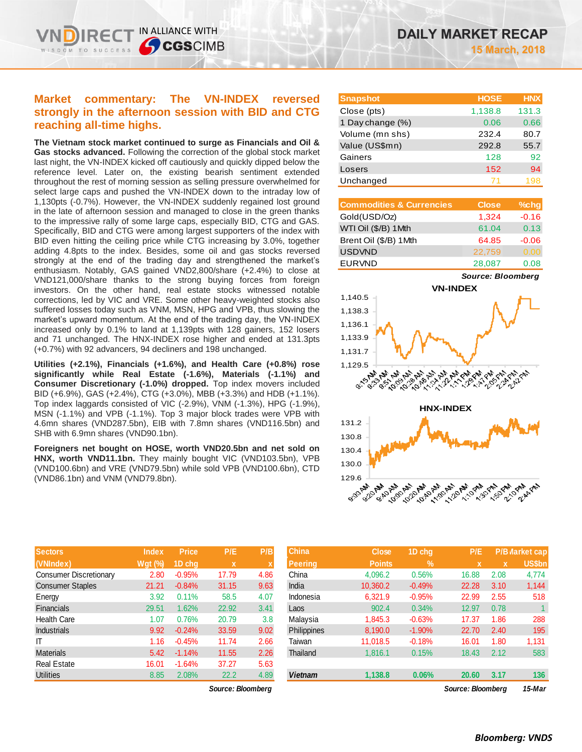IN ALLIANCE WITH

**CGSCIMB** 

**The Vietnam stock market continued to surge as Financials and Oil & Gas stocks advanced.** Following the correction of the global stock market last night, the VN-INDEX kicked off cautiously and quickly dipped below the reference level. Later on, the existing bearish sentiment extended throughout the rest of morning session as selling pressure overwhelmed for select large caps and pushed the VN-INDEX down to the intraday low of 1,130pts (-0.7%). However, the VN-INDEX suddenly regained lost ground in the late of afternoon session and managed to close in the green thanks to the impressive rally of some large caps, especially BID, CTG and GAS. Specifically, BID and CTG were among largest supporters of the index with BID even hitting the ceiling price while CTG increasing by 3.0%, together adding 4.8pts to the index. Besides, some oil and gas stocks reversed strongly at the end of the trading day and strengthened the market's enthusiasm. Notably, GAS gained VND2,800/share (+2.4%) to close at VND121,000/share thanks to the strong buying forces from foreign investors. On the other hand, real estate stocks witnessed notable corrections, led by VIC and VRE. Some other heavy-weighted stocks also suffered losses today such as VNM, MSN, HPG and VPB, thus slowing the market's upward momentum. At the end of the trading day, the VN-INDEX increased only by 0.1% to land at 1,139pts with 128 gainers, 152 losers and 71 unchanged. The HNX-INDEX rose higher and ended at 131.3pts (+0.7%) with 92 advancers, 94 decliners and 198 unchanged.

**Utilities (+2.1%), Financials (+1.6%), and Health Care (+0.8%) rose significantly while Real Estate (-1.6%), Materials (-1.1%) and Consumer Discretionary (-1.0%) dropped.** Top index movers included BID (+6.9%), GAS (+2.4%), CTG (+3.0%), MBB (+3.3%) and HDB (+1.1%). Top index laggards consisted of VIC (-2.9%), VNM (-1.3%), HPG (-1.9%), MSN (-1.1%) and VPB (-1.1%). Top 3 major block trades were VPB with 4.6mn shares (VND287.5bn), EIB with 7.8mn shares (VND116.5bn) and SHB with 6.9mn shares (VND90.1bn).

**Foreigners net bought on HOSE, worth VND20.5bn and net sold on HNX, worth VND11.1bn.** They mainly bought VIC (VND103.5bn), VPB (VND100.6bn) and VRE (VND79.5bn) while sold VPB (VND100.6bn), CTD (VND86.1bn) and VNM (VND79.8bn).

|                  | <b>Index</b> | <b>Price</b> | P/E          | P/B  | <b>China</b>  |
|------------------|--------------|--------------|--------------|------|---------------|
| x)               | $Wgt$ (%)    | 1D chg       | $\mathbf{x}$ | X    | <b>Peerin</b> |
| er Discretionary | 2.80         | $-0.95%$     | 17.79        | 4.86 | China         |
| er Staples       | 21.21        | $-0.84%$     | 31.15        | 9.63 | India         |
|                  | 3.92         | 0.11%        | 58.5         | 4.07 | Indone        |
| ls               | 29.51        | 1.62%        | 22.92        | 3.41 | Laos          |
| 'are             | 1.07         | 0.76%        | 20.79        | 3 R  | <b>Malav</b>  |

| <b>Snapshot</b>  | <b>HOSE</b> | <b>HNX</b> |
|------------------|-------------|------------|
| Close (pts)      | 1,138.8     | 131.3      |
| 1 Day change (%) | 0.06        | 0.66       |
| Volume (mn shs)  | 232.4       | 80.7       |
| Value (US\$mn)   | 292.8       | 55.7       |
| Gainers          | 128         | 92         |
| Losers           | 152         | 94         |
| Unchanged        |             | 198        |

| <b>Commodities &amp; Currencies</b> | <b>Close</b> | $%$ chg |
|-------------------------------------|--------------|---------|
| Gold(USD/Oz)                        | 1,324        | $-0.16$ |
| WTI Oil (\$/B) 1Mth                 | 61.04        | 0.13    |
| Brent Oil (\$/B) 1Mth               | 64.85        | $-0.06$ |
| <b>USDVND</b>                       | 22,759       | 0.00    |
| <b>EURVND</b>                       | 28,087       | 0.08    |

*Source: Bloomberg*



| <b>Sectors</b>         | Index     | <b>Price</b> | P/E               | P/B         | <b>China</b>   | <b>Close</b>  | 1D chq        | P/E               |             | P/B Market cap |
|------------------------|-----------|--------------|-------------------|-------------|----------------|---------------|---------------|-------------------|-------------|----------------|
| (VNIndex)              | $Wgt($ %) | 1D chq       | X                 | $\mathbf x$ | <b>Peering</b> | <b>Points</b> | $\frac{9}{6}$ | $\mathbf x$       | $\mathbf x$ | US\$bn         |
| Consumer Discretionary | 2.80      | $-0.95%$     | 17.79             | 4.86        | China          | 4,096.2       | 0.56%         | 16.88             | 2.08        | 4,774          |
| Consumer Staples       | 21.21     | $-0.84%$     | 31.15             | 9.63        | India          | 10,360.2      | $-0.49%$      | 22.28             | 3.10        | 1,144          |
| Energy                 | 3.92      | 0.11%        | 58.5              | 4.07        | Indonesia      | 6,321.9       | $-0.95%$      | 22.99             | 2.55        | 518            |
| Financials             | 29.51     | 1.62%        | 22.92             | 3.41        | Laos           | 902.4         | 0.34%         | 12.97             | 0.78        |                |
| Health Care            | 1.07      | 0.76%        | 20.79             | 3.8         | Malaysia       | 1.845.3       | $-0.63%$      | 17.37             | 1.86        | 288            |
| <b>Industrials</b>     | 9.92      | $-0.24%$     | 33.59             | 9.02        | Philippines    | 8,190.0       | $-1.90%$      | 22.70             | 2.40        | 195            |
|                        | 1.16      | $-0.45%$     | 11.74             | 2.66        | Taiwan         | 11.018.5      | $-0.18%$      | 16.01             | 1.80        | 1,131          |
| Materials              | 5.42      | $-1.14%$     | 11.55             | 2.26        | Thailand       | 1.816.1       | 0.15%         | 18.43             | 2.12        | 583            |
| Real Estate            | 16.01     | $-1.64%$     | 37.27             | 5.63        |                |               |               |                   |             |                |
| <b>Utilities</b>       | 8.85      | 2.08%        | 22.2              | 4.89        | <b>Vietnam</b> | 1,138.8       | 0.06%         | 20.60             | 3.17        | 136            |
|                        |           |              | Source: Bloomberg |             |                |               |               | Source: Bloomberg |             | 15-Mar         |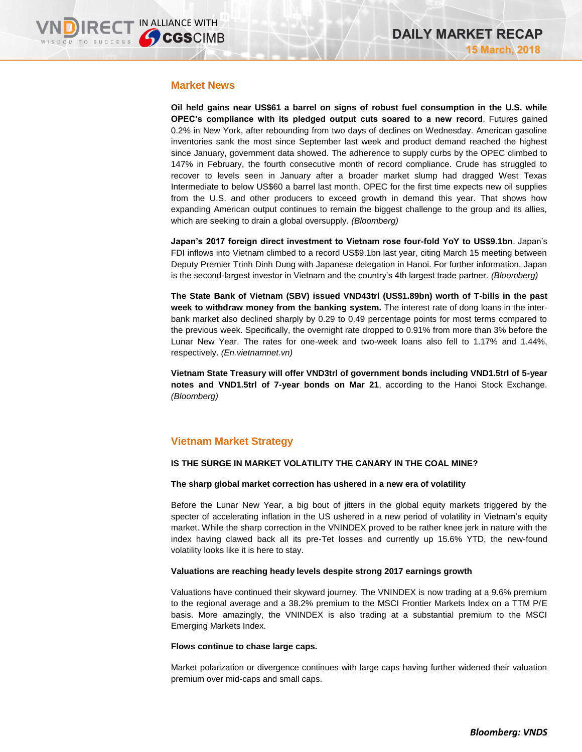# **Market News**

**Oil held gains near US\$61 a barrel on signs of robust fuel consumption in the U.S. while OPEC's compliance with its pledged output cuts soared to a new record**. Futures gained 0.2% in New York, after rebounding from two days of declines on Wednesday. American gasoline inventories sank the most since September last week and product demand reached the highest since January, government data showed. The adherence to supply curbs by the OPEC climbed to 147% in February, the fourth consecutive month of record compliance. Crude has struggled to recover to levels seen in January after a broader market slump had dragged West Texas Intermediate to below US\$60 a barrel last month. OPEC for the first time expects new oil supplies from the U.S. and other producers to exceed growth in demand this year. That shows how expanding American output continues to remain the biggest challenge to the group and its allies, which are seeking to drain a global oversupply. *(Bloomberg)*

**Japan's 2017 foreign direct investment to Vietnam rose four-fold YoY to US\$9.1bn**. Japan's FDI inflows into Vietnam climbed to a record US\$9.1bn last year, citing March 15 meeting between Deputy Premier Trinh Dinh Dung with Japanese delegation in Hanoi. For further information, Japan is the second-largest investor in Vietnam and the country's 4th largest trade partner. *(Bloomberg)*

**The State Bank of Vietnam (SBV) issued VND43trl (US\$1.89bn) worth of T-bills in the past week to withdraw money from the banking system.** The interest rate of dong loans in the interbank market also declined sharply by 0.29 to 0.49 percentage points for most terms compared to the previous week. Specifically, the overnight rate dropped to 0.91% from more than 3% before the Lunar New Year. The rates for one-week and two-week loans also fell to 1.17% and 1.44%, respectively. *(En.vietnamnet.vn)*

**Vietnam State Treasury will offer VND3trl of government bonds including VND1.5trl of 5-year notes and VND1.5trl of 7-year bonds on Mar 21**, according to the Hanoi Stock Exchange. *(Bloomberg)*

# **Vietnam Market Strategy**

## **IS THE SURGE IN MARKET VOLATILITY THE CANARY IN THE COAL MINE?**

## **The sharp global market correction has ushered in a new era of volatility**

Before the Lunar New Year, a big bout of jitters in the global equity markets triggered by the specter of accelerating inflation in the US ushered in a new period of volatility in Vietnam's equity market. While the sharp correction in the VNINDEX proved to be rather knee jerk in nature with the index having clawed back all its pre-Tet losses and currently up 15.6% YTD, the new-found volatility looks like it is here to stay.

## **Valuations are reaching heady levels despite strong 2017 earnings growth**

Valuations have continued their skyward journey. The VNINDEX is now trading at a 9.6% premium to the regional average and a 38.2% premium to the MSCI Frontier Markets Index on a TTM P/E basis. More amazingly, the VNINDEX is also trading at a substantial premium to the MSCI Emerging Markets Index.

## **Flows continue to chase large caps.**

Market polarization or divergence continues with large caps having further widened their valuation premium over mid-caps and small caps.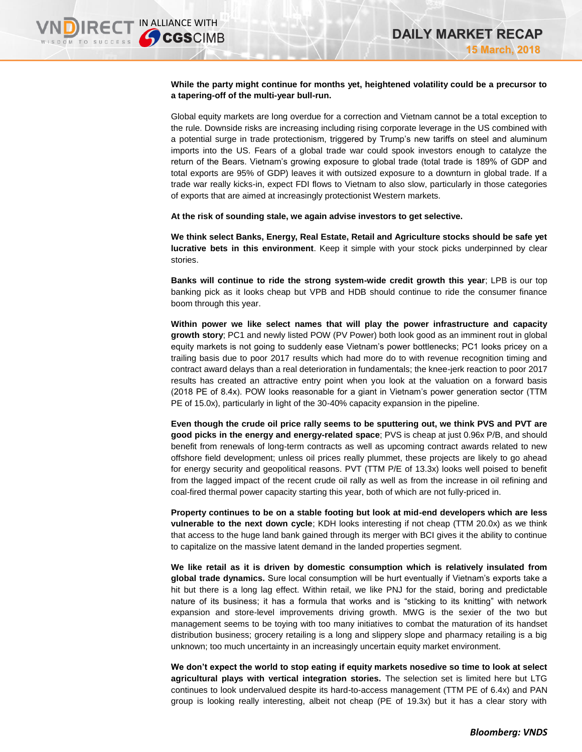### **While the party might continue for months yet, heightened volatility could be a precursor to a tapering-off of the multi-year bull-run.**

Global equity markets are long overdue for a correction and Vietnam cannot be a total exception to the rule. Downside risks are increasing including rising corporate leverage in the US combined with a potential surge in trade protectionism, triggered by Trump's new tariffs on steel and aluminum imports into the US. Fears of a global trade war could spook investors enough to catalyze the return of the Bears. Vietnam's growing exposure to global trade (total trade is 189% of GDP and total exports are 95% of GDP) leaves it with outsized exposure to a downturn in global trade. If a trade war really kicks-in, expect FDI flows to Vietnam to also slow, particularly in those categories of exports that are aimed at increasingly protectionist Western markets.

**At the risk of sounding stale, we again advise investors to get selective.** 

**We think select Banks, Energy, Real Estate, Retail and Agriculture stocks should be safe yet lucrative bets in this environment**. Keep it simple with your stock picks underpinned by clear stories.

**Banks will continue to ride the strong system-wide credit growth this year**; LPB is our top banking pick as it looks cheap but VPB and HDB should continue to ride the consumer finance boom through this year.

**Within power we like select names that will play the power infrastructure and capacity growth story**; PC1 and newly listed POW (PV Power) both look good as an imminent rout in global equity markets is not going to suddenly ease Vietnam's power bottlenecks; PC1 looks pricey on a trailing basis due to poor 2017 results which had more do to with revenue recognition timing and contract award delays than a real deterioration in fundamentals; the knee-jerk reaction to poor 2017 results has created an attractive entry point when you look at the valuation on a forward basis (2018 PE of 8.4x). POW looks reasonable for a giant in Vietnam's power generation sector (TTM PE of 15.0x), particularly in light of the 30-40% capacity expansion in the pipeline.

**Even though the crude oil price rally seems to be sputtering out, we think PVS and PVT are good picks in the energy and energy-related space**; PVS is cheap at just 0.96x P/B, and should benefit from renewals of long-term contracts as well as upcoming contract awards related to new offshore field development; unless oil prices really plummet, these projects are likely to go ahead for energy security and geopolitical reasons. PVT (TTM P/E of 13.3x) looks well poised to benefit from the lagged impact of the recent crude oil rally as well as from the increase in oil refining and coal-fired thermal power capacity starting this year, both of which are not fully-priced in.

**Property continues to be on a stable footing but look at mid-end developers which are less vulnerable to the next down cycle**; KDH looks interesting if not cheap (TTM 20.0x) as we think that access to the huge land bank gained through its merger with BCI gives it the ability to continue to capitalize on the massive latent demand in the landed properties segment.

**We like retail as it is driven by domestic consumption which is relatively insulated from global trade dynamics.** Sure local consumption will be hurt eventually if Vietnam's exports take a hit but there is a long lag effect. Within retail, we like PNJ for the staid, boring and predictable nature of its business; it has a formula that works and is "sticking to its knitting" with network expansion and store-level improvements driving growth. MWG is the sexier of the two but management seems to be toying with too many initiatives to combat the maturation of its handset distribution business; grocery retailing is a long and slippery slope and pharmacy retailing is a big unknown; too much uncertainty in an increasingly uncertain equity market environment.

**We don't expect the world to stop eating if equity markets nosedive so time to look at select agricultural plays with vertical integration stories.** The selection set is limited here but LTG continues to look undervalued despite its hard-to-access management (TTM PE of 6.4x) and PAN group is looking really interesting, albeit not cheap (PE of 19.3x) but it has a clear story with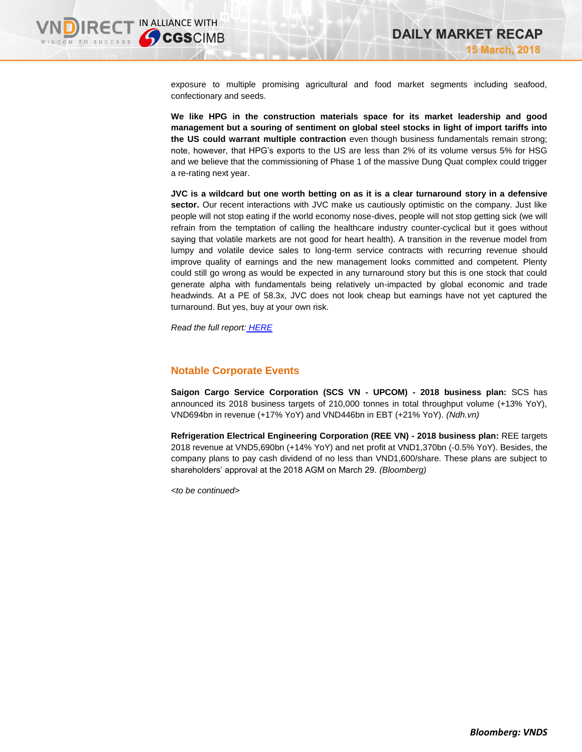M TO SUCCESS

exposure to multiple promising agricultural and food market segments including seafood, confectionary and seeds.

**We like HPG in the construction materials space for its market leadership and good management but a souring of sentiment on global steel stocks in light of import tariffs into the US could warrant multiple contraction** even though business fundamentals remain strong; note, however, that HPG's exports to the US are less than 2% of its volume versus 5% for HSG and we believe that the commissioning of Phase 1 of the massive Dung Quat complex could trigger a re-rating next year.

**JVC is a wildcard but one worth betting on as it is a clear turnaround story in a defensive sector.** Our recent interactions with JVC make us cautiously optimistic on the company. Just like people will not stop eating if the world economy nose-dives, people will not stop getting sick (we will refrain from the temptation of calling the healthcare industry counter-cyclical but it goes without saying that volatile markets are not good for heart health). A transition in the revenue model from lumpy and volatile device sales to long-term service contracts with recurring revenue should improve quality of earnings and the new management looks committed and competent. Plenty could still go wrong as would be expected in any turnaround story but this is one stock that could generate alpha with fundamentals being relatively un-impacted by global economic and trade headwinds. At a PE of 58.3x, JVC does not look cheap but earnings have not yet captured the turnaround. But yes, buy at your own risk.

*Read the full report: [HERE](https://static-02.vndirect.com.vn/uploads/prod/Vietnam_Market_Strategy-20180315.pdf)*

# **Notable Corporate Events**

**Saigon Cargo Service Corporation (SCS VN - UPCOM) - 2018 business plan:** SCS has announced its 2018 business targets of 210,000 tonnes in total throughput volume (+13% YoY), VND694bn in revenue (+17% YoY) and VND446bn in EBT (+21% YoY). *(Ndh.vn)*

**Refrigeration Electrical Engineering Corporation (REE VN) - 2018 business plan:** REE targets 2018 revenue at VND5,690bn (+14% YoY) and net profit at VND1,370bn (-0.5% YoY). Besides, the company plans to pay cash dividend of no less than VND1,600/share. These plans are subject to shareholders' approval at the 2018 AGM on March 29. *(Bloomberg)*

*<to be continued>*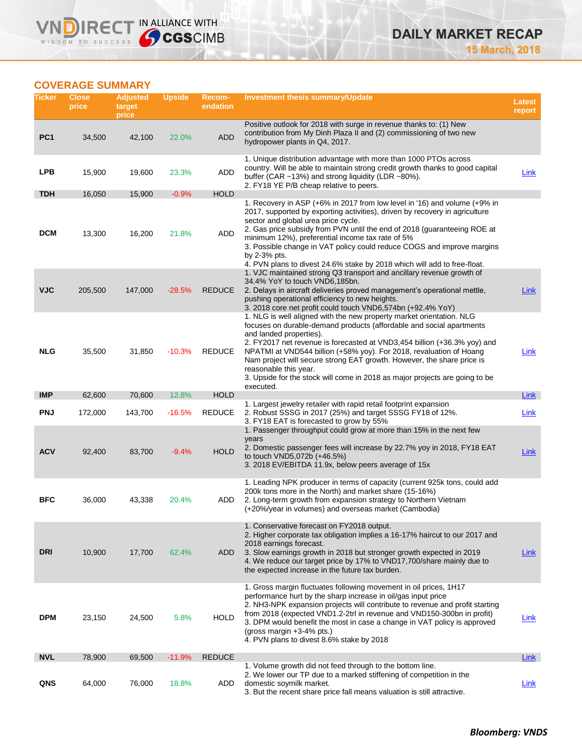# **COVERAGE SUMMARY**

**VNDIRECT IN ALLIANCE WITH** 

| Ticker          | <b>Close</b><br>price | <b>Adjusted</b><br>target<br>price | <b>Upside</b> | Recom-<br>endation | <b>Investment thesis summary/Update</b>                                                                                                                                                                                                                                                                                                                                                                                                                                                                                   | <b>Latest</b><br>report |
|-----------------|-----------------------|------------------------------------|---------------|--------------------|---------------------------------------------------------------------------------------------------------------------------------------------------------------------------------------------------------------------------------------------------------------------------------------------------------------------------------------------------------------------------------------------------------------------------------------------------------------------------------------------------------------------------|-------------------------|
| PC <sub>1</sub> | 34,500                | 42,100                             | 22.0%         | <b>ADD</b>         | Positive outlook for 2018 with surge in revenue thanks to: (1) New<br>contribution from My Dinh Plaza II and (2) commissioning of two new<br>hydropower plants in Q4, 2017.                                                                                                                                                                                                                                                                                                                                               |                         |
| <b>LPB</b>      | 15,900                | 19,600                             | 23.3%         | ADD                | 1. Unique distribution advantage with more than 1000 PTOs across<br>country. Will be able to maintain strong credit growth thanks to good capital<br>buffer (CAR ~13%) and strong liquidity (LDR ~80%).<br>2. FY18 YE P/B cheap relative to peers.                                                                                                                                                                                                                                                                        | Link                    |
| <b>TDH</b>      | 16,050                | 15,900                             | $-0.9%$       | <b>HOLD</b>        |                                                                                                                                                                                                                                                                                                                                                                                                                                                                                                                           |                         |
| <b>DCM</b>      | 13,300                | 16,200                             | 21.8%         | ADD                | 1. Recovery in ASP (+6% in 2017 from low level in '16) and volume (+9% in<br>2017, supported by exporting activities), driven by recovery in agriculture<br>sector and global urea price cycle.<br>2. Gas price subsidy from PVN until the end of 2018 (guaranteeing ROE at<br>minimum 12%), preferential income tax rate of 5%<br>3. Possible change in VAT policy could reduce COGS and improve margins<br>by 2-3% pts.<br>4. PVN plans to divest 24.6% stake by 2018 which will add to free-float.                     |                         |
| <b>VJC</b>      | 205,500               | 147,000                            | $-28.5%$      | <b>REDUCE</b>      | 1. VJC maintained strong Q3 transport and ancillary revenue growth of<br>34.4% YoY to touch VND6,185bn.<br>2. Delays in aircraft deliveries proved management's operational mettle,<br>pushing operational efficiency to new heights.<br>3. 2018 core net profit could touch VND6,574bn (+92.4% YoY)                                                                                                                                                                                                                      | Link                    |
| <b>NLG</b>      | 35,500                | 31,850                             | $-10.3%$      | <b>REDUCE</b>      | 1. NLG is well aligned with the new property market orientation. NLG<br>focuses on durable-demand products (affordable and social apartments<br>and landed properties).<br>2. FY2017 net revenue is forecasted at VND3,454 billion (+36.3% yoy) and<br>NPATMI at VND544 billion (+58% yoy). For 2018, revaluation of Hoang<br>Nam project will secure strong EAT growth. However, the share price is<br>reasonable this year.<br>3. Upside for the stock will come in 2018 as major projects are going to be<br>executed. | Link                    |
| <b>IMP</b>      | 62,600                | 70,600                             | 12.8%         | <b>HOLD</b>        | 1. Largest jewelry retailer with rapid retail footprint expansion                                                                                                                                                                                                                                                                                                                                                                                                                                                         | Link                    |
| <b>PNJ</b>      | 172,000               | 143,700                            | $-16.5%$      | <b>REDUCE</b>      | 2. Robust SSSG in 2017 (25%) and target SSSG FY18 of 12%.<br>3. FY18 EAT is forecasted to grow by 55%                                                                                                                                                                                                                                                                                                                                                                                                                     | Link                    |
| <b>ACV</b>      | 92,400                | 83,700                             | $-9.4%$       | <b>HOLD</b>        | 1. Passenger throughput could grow at more than 15% in the next few<br>years<br>2. Domestic passenger fees will increase by 22.7% yoy in 2018, FY18 EAT<br>to touch VND5,072b (+46.5%)<br>3. 2018 EV/EBITDA 11.9x, below peers average of 15x                                                                                                                                                                                                                                                                             | Link                    |
| <b>BFC</b>      | 36,000                | 43,338                             | 20.4%         | ADD                | 1. Leading NPK producer in terms of capacity (current 925k tons, could add<br>200k tons more in the North) and market share (15-16%)<br>2. Long-term growth from expansion strategy to Northern Vietnam<br>(+20%/year in volumes) and overseas market (Cambodia)                                                                                                                                                                                                                                                          |                         |
| <b>DRI</b>      | 10,900                | 17,700                             | 62.4%         | ADD                | 1. Conservative forecast on FY2018 output.<br>2. Higher corporate tax obligation implies a 16-17% haircut to our 2017 and<br>2018 earnings forecast.<br>3. Slow earnings growth in 2018 but stronger growth expected in 2019<br>4. We reduce our target price by 17% to VND17,700/share mainly due to<br>the expected increase in the future tax burden.                                                                                                                                                                  | Link                    |
| <b>DPM</b>      | 23,150                | 24,500                             | 5.8%          | <b>HOLD</b>        | 1. Gross margin fluctuates following movement in oil prices, 1H17<br>performance hurt by the sharp increase in oil/gas input price<br>2. NH3-NPK expansion projects will contribute to revenue and profit starting<br>from 2018 (expected VND1.2-2trl in revenue and VND150-300bn in profit)<br>3. DPM would benefit the most in case a change in VAT policy is approved<br>(gross margin $+3-4\%$ pts.)<br>4. PVN plans to divest 8.6% stake by 2018                                                                     | <u>Link</u>             |
| <b>NVL</b>      | 78,900                | 69,500                             | $-11.9%$      | <b>REDUCE</b>      |                                                                                                                                                                                                                                                                                                                                                                                                                                                                                                                           | <b>Link</b>             |
| QNS             | 64,000                | 76,000                             | 18.8%         | ADD                | 1. Volume growth did not feed through to the bottom line.<br>2. We lower our TP due to a marked stiffening of competition in the<br>domestic soymilk market.<br>3. But the recent share price fall means valuation is still attractive.                                                                                                                                                                                                                                                                                   | <u>Link</u>             |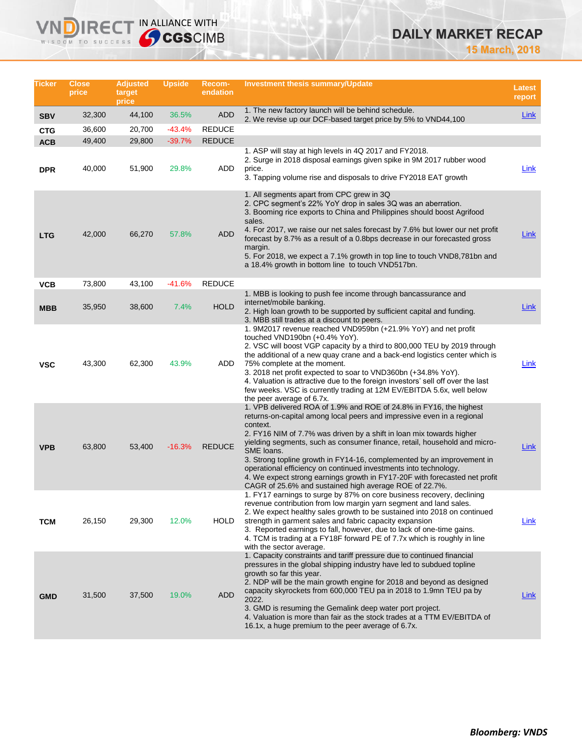# **DAILY MARKET RECAP**

**15 March, 2018**

| Ticker     | <b>Close</b><br>price | <b>Adjusted</b><br>target<br>price | <b>Upside</b> | Recom-<br>endation | <b>Investment thesis summary/Update</b>                                                                                                                                                                                                                                                                                                                                                                                                                                                                                                                                                                           | <b>Latest</b><br>report |
|------------|-----------------------|------------------------------------|---------------|--------------------|-------------------------------------------------------------------------------------------------------------------------------------------------------------------------------------------------------------------------------------------------------------------------------------------------------------------------------------------------------------------------------------------------------------------------------------------------------------------------------------------------------------------------------------------------------------------------------------------------------------------|-------------------------|
| <b>SBV</b> | 32,300                | 44,100                             | 36.5%         | <b>ADD</b>         | 1. The new factory launch will be behind schedule.<br>2. We revise up our DCF-based target price by 5% to VND44,100                                                                                                                                                                                                                                                                                                                                                                                                                                                                                               | Link                    |
| <b>CTG</b> | 36,600                | 20,700                             | $-43.4%$      | <b>REDUCE</b>      |                                                                                                                                                                                                                                                                                                                                                                                                                                                                                                                                                                                                                   |                         |
| <b>ACB</b> | 49,400                | 29,800                             | $-39.7%$      | <b>REDUCE</b>      |                                                                                                                                                                                                                                                                                                                                                                                                                                                                                                                                                                                                                   |                         |
| <b>DPR</b> | 40,000                | 51,900                             | 29.8%         | ADD                | 1. ASP will stay at high levels in 4Q 2017 and FY2018.<br>2. Surge in 2018 disposal earnings given spike in 9M 2017 rubber wood<br>price.<br>3. Tapping volume rise and disposals to drive FY2018 EAT growth                                                                                                                                                                                                                                                                                                                                                                                                      | Link                    |
| <b>LTG</b> | 42,000                | 66,270                             | 57.8%         | <b>ADD</b>         | 1. All segments apart from CPC grew in 3Q<br>2. CPC segment's 22% YoY drop in sales 3Q was an aberration.<br>3. Booming rice exports to China and Philippines should boost Agrifood<br>sales.<br>4. For 2017, we raise our net sales forecast by 7.6% but lower our net profit<br>forecast by 8.7% as a result of a 0.8bps decrease in our forecasted gross<br>margin.<br>5. For 2018, we expect a 7.1% growth in top line to touch VND8,781bn and<br>a 18.4% growth in bottom line to touch VND517bn.                                                                                                            | <b>Link</b>             |
| VCB        | 73,800                | 43,100                             | $-41.6%$      | <b>REDUCE</b>      |                                                                                                                                                                                                                                                                                                                                                                                                                                                                                                                                                                                                                   |                         |
| <b>MBB</b> | 35,950                | 38,600                             | 7.4%          | <b>HOLD</b>        | 1. MBB is looking to push fee income through bancassurance and<br>internet/mobile banking.<br>2. High loan growth to be supported by sufficient capital and funding.<br>3. MBB still trades at a discount to peers.                                                                                                                                                                                                                                                                                                                                                                                               | Link                    |
| <b>VSC</b> | 43,300                | 62,300                             | 43.9%         | ADD                | 1. 9M2017 revenue reached VND959bn (+21.9% YoY) and net profit<br>touched VND190bn (+0.4% YoY).<br>2. VSC will boost VGP capacity by a third to 800,000 TEU by 2019 through<br>the additional of a new quay crane and a back-end logistics center which is<br>75% complete at the moment.<br>3. 2018 net profit expected to soar to VND360bn (+34.8% YoY).<br>4. Valuation is attractive due to the foreign investors' sell off over the last<br>few weeks. VSC is currently trading at 12M EV/EBITDA 5.6x, well below<br>the peer average of 6.7x.                                                               | Link                    |
| <b>VPB</b> | 63,800                | 53,400                             | $-16.3%$      | <b>REDUCE</b>      | 1. VPB delivered ROA of 1.9% and ROE of 24.8% in FY16, the highest<br>returns-on-capital among local peers and impressive even in a regional<br>context.<br>2. FY16 NIM of 7.7% was driven by a shift in loan mix towards higher<br>yielding segments, such as consumer finance, retail, household and micro-<br>SME loans.<br>3. Strong topline growth in FY14-16, complemented by an improvement in<br>operational efficiency on continued investments into technology.<br>4. We expect strong earnings growth in FY17-20F with forecasted net profit<br>CAGR of 25.6% and sustained high average ROE of 22.7%. | Link                    |
| тсм        | 26,150                | 29,300                             | 12.0%         | <b>HOLD</b>        | 1. FY17 earnings to surge by 87% on core business recovery, declining<br>revenue contribution from low margin yarn segment and land sales.<br>2. We expect healthy sales growth to be sustained into 2018 on continued<br>strength in garment sales and fabric capacity expansion<br>3. Reported earnings to fall, however, due to lack of one-time gains.<br>4. TCM is trading at a FY18F forward PE of 7.7x which is roughly in line<br>with the sector average.                                                                                                                                                | Link                    |
| <b>GMD</b> | 31,500                | 37,500                             | 19.0%         | ADD                | 1. Capacity constraints and tariff pressure due to continued financial<br>pressures in the global shipping industry have led to subdued topline<br>growth so far this year.<br>2. NDP will be the main growth engine for 2018 and beyond as designed<br>capacity skyrockets from 600,000 TEU pa in 2018 to 1.9mn TEU pa by<br>2022.<br>3. GMD is resuming the Gemalink deep water port project.<br>4. Valuation is more than fair as the stock trades at a TTM EV/EBITDA of<br>16.1x, a huge premium to the peer average of 6.7x.                                                                                 | Link                    |

**VNDIRECT IN ALLIANCE WITH**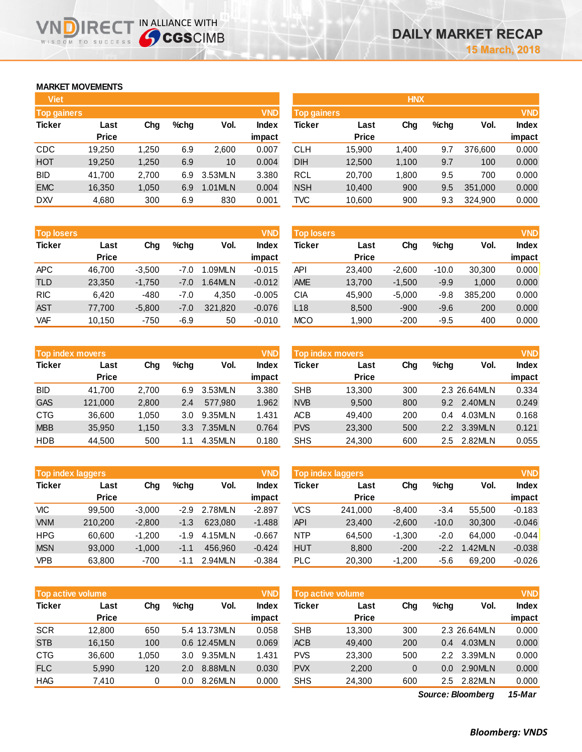# **MARKET MOVEMENTS**

הו

IR<sub>E</sub> WISDOM TO SUCCESS

| <b>Top gainers</b> |       |         |         | <b>VND</b>   |
|--------------------|-------|---------|---------|--------------|
| Last               | Cha   | $%$ chq | Vol.    | <b>Index</b> |
| <b>Price</b>       |       |         |         | impact       |
| 19,250             | 1,250 | 6.9     | 2,600   | 0.007        |
| 19,250             | 1,250 | 6.9     | 10      | 0.004        |
| 41,700             | 2,700 | 6.9     | 3.53MLN | 3.380        |
| 16,350             | 1,050 | 6.9     | 1.01MLN | 0.004        |
| 4,680              | 300   | 6.9     | 830     | 0.001        |
|                    |       |         |         |              |

**THE IN ALLIANCE WITH<br>
CGSCIMB** 

| <b>Top losers</b> |              |          |         |         | <b>VND</b> |
|-------------------|--------------|----------|---------|---------|------------|
| <b>Ticker</b>     | Last         | Cha      | $%$ chq | Vol.    | Index      |
|                   | <b>Price</b> |          |         |         | impact     |
| <b>APC</b>        | 46,700       | $-3,500$ | $-7.0$  | 1.09MLN | $-0.015$   |
| <b>TLD</b>        | 23,350       | $-1,750$ | $-7.0$  | 1.64MLN | $-0.012$   |
| <b>RIC</b>        | 6.420        | $-480$   | $-7.0$  | 4,350   | $-0.005$   |
| <b>AST</b>        | 77,700       | $-5,800$ | $-7.0$  | 321,820 | $-0.076$   |
| <b>VAF</b>        | 10,150       | $-750$   | $-6.9$  | 50      | $-0.010$   |

|               | <b>Top index movers</b> |       |         |         |              |  |  |  |  |  |
|---------------|-------------------------|-------|---------|---------|--------------|--|--|--|--|--|
| <b>Ticker</b> | Last                    | Cha   | $%$ chq | Vol.    | <b>Index</b> |  |  |  |  |  |
|               | <b>Price</b>            |       |         |         | impact       |  |  |  |  |  |
| <b>BID</b>    | 41,700                  | 2,700 | 6.9     | 3.53MLN | 3.380        |  |  |  |  |  |
| <b>GAS</b>    | 121,000                 | 2,800 | 2.4     | 577,980 | 1.962        |  |  |  |  |  |
| <b>CTG</b>    | 36,600                  | 1,050 | 3.0     | 9.35MLN | 1.431        |  |  |  |  |  |
| <b>MBB</b>    | 35,950                  | 1,150 | 3.3     | 7.35MLN | 0.764        |  |  |  |  |  |
| <b>HDB</b>    | 44,500                  | 500   | 1.1     | 4.35MLN | 0.180        |  |  |  |  |  |

| <b>VND</b><br><b>Top index laggers</b> |              |          |         |         |              |  |  |  |  |
|----------------------------------------|--------------|----------|---------|---------|--------------|--|--|--|--|
| <b>Ticker</b>                          | Last         | Cha      | $%$ chq | Vol.    | <b>Index</b> |  |  |  |  |
|                                        | <b>Price</b> |          |         |         | impact       |  |  |  |  |
| VIC                                    | 99,500       | $-3,000$ | $-2.9$  | 2.78MLN | $-2.897$     |  |  |  |  |
| <b>VNM</b>                             | 210,200      | $-2,800$ | $-1.3$  | 623.080 | $-1.488$     |  |  |  |  |
| <b>HPG</b>                             | 60,600       | $-1,200$ | $-1.9$  | 4.15MLN | $-0.667$     |  |  |  |  |
| <b>MSN</b>                             | 93,000       | $-1,000$ | $-1.1$  | 456.960 | $-0.424$     |  |  |  |  |
| VPB                                    | 63,800       | $-700$   | -1.1    | 2.94MLN | $-0.384$     |  |  |  |  |

|               | <b>Top active volume</b> |       |         |              |                        |  |  |  |  |  |
|---------------|--------------------------|-------|---------|--------------|------------------------|--|--|--|--|--|
| <b>Ticker</b> | Last<br><b>Price</b>     | Cha   | $%$ chq | Vol.         | <b>Index</b><br>impact |  |  |  |  |  |
| <b>SCR</b>    | 12,800                   | 650   |         | 5.4 13.73MLN | 0.058                  |  |  |  |  |  |
| <b>STB</b>    | 16,150                   | 100   |         | 0.6 12.45MLN | 0.069                  |  |  |  |  |  |
| <b>CTG</b>    | 36,600                   | 1,050 | 3.0     | 9.35MLN      | 1.431                  |  |  |  |  |  |
| <b>FLC</b>    | 5.990                    | 120   | 2.0     | 8.88MLN      | 0.030                  |  |  |  |  |  |
| <b>HAG</b>    | 7,410                    | 0     | 0.0     | 8.26MLN      | 0.000                  |  |  |  |  |  |

| <b>Viet</b>        |              |       |         |         |              | <b>HNX</b>         |              |       |         |         |              |
|--------------------|--------------|-------|---------|---------|--------------|--------------------|--------------|-------|---------|---------|--------------|
| <b>Top gainers</b> |              |       |         |         | <b>VND</b>   | <b>Top gainers</b> |              |       |         |         | <b>VND</b>   |
| Ticker             | Last         | Chg   | $%$ chg | Vol.    | <b>Index</b> | Ticker             | Last         | Chg   | $%$ chg | Vol.    | <b>Index</b> |
|                    | <b>Price</b> |       |         |         | impact       |                    | <b>Price</b> |       |         |         | impact       |
| CDC                | 19,250       | 1,250 | 6.9     | 2,600   | 0.007        | <b>CLH</b>         | 15,900       | 1,400 | 9.7     | 376.600 | 0.000        |
| HOT                | 19,250       | 1,250 | 6.9     | 10      | 0.004        | <b>DIH</b>         | 12,500       | 1,100 | 9.7     | 100     | 0.000        |
| BID                | 41,700       | 2,700 | 6.9     | 3.53MLN | 3.380        | RCL                | 20,700       | 1,800 | 9.5     | 700     | 0.000        |
| <b>EMC</b>         | 16,350       | 1,050 | 6.9     | 1.01MLN | 0.004        | <b>NSH</b>         | 10,400       | 900   | 9.5     | 351,000 | 0.000        |
| DXV                | 4,680        | 300   | 6.9     | 830     | 0.001        | TVC                | 10,600       | 900   | 9.3     | 324,900 | 0.000        |
|                    |              |       |         |         |              |                    |              |       |         |         |              |

| <b>Top losers</b> |              |          |         |         | <b>VND</b> | <b>Top losers</b> |              |          |         |         | <b>VND</b> |
|-------------------|--------------|----------|---------|---------|------------|-------------------|--------------|----------|---------|---------|------------|
| Ticker            | Last         | Chg      | $%$ chg | Vol.    | Index      | Ticker            | Last         | Chg      | $%$ chg | Vol.    | Index      |
|                   | <b>Price</b> |          |         |         | impact     |                   | <b>Price</b> |          |         |         | impact     |
| APC               | 46.700       | $-3,500$ | $-7.0$  | 1.09MLN | $-0.015$   | API               | 23,400       | $-2,600$ | $-10.0$ | 30,300  | 0.000      |
| TLD               | 23,350       | $-1,750$ | $-7.0$  | .64MLN  | $-0.012$   | <b>AME</b>        | 13,700       | $-1,500$ | $-9.9$  | 1.000   | 0.000      |
| <b>RIC</b>        | 6.420        | -480     | $-7.0$  | 4.350   | $-0.005$   | CIA               | 45,900       | $-5.000$ | $-9.8$  | 385.200 | 0.000      |
| AST               | 77.700       | $-5,800$ | $-7.0$  | 321,820 | $-0.076$   | L <sub>18</sub>   | 8,500        | $-900$   | $-9.6$  | 200     | 0.000      |
| <b>VAF</b>        | 10,150       | $-750$   | $-6.9$  | 50      | $-0.010$   | <b>MCO</b>        | 1,900        | $-200$   | $-9.5$  | 400     | 0.000      |

|            | <b>Top index movers</b> |       |         |         | <b>VND</b>      | <b>Top index movers</b> |                      |     |         |              | <b>VND</b>             |
|------------|-------------------------|-------|---------|---------|-----------------|-------------------------|----------------------|-----|---------|--------------|------------------------|
| Ticker     | Last<br><b>Price</b>    | Chg   | $%$ chg | Vol.    | Index<br>impact | Ticker                  | Last<br><b>Price</b> | Chg | $%$ chg | Vol.         | <b>Index</b><br>impact |
| BID        | 41.700                  | 2.700 | 6.9     | 3.53MLN | 3.380           | <b>SHB</b>              | 13,300               | 300 |         | 2.3 26.64MLN | 0.334                  |
| <b>GAS</b> | 121,000                 | 2,800 | 2.4     | 577.980 | 1.962           | <b>NVB</b>              | 9,500                | 800 | 9.2     | 2.40MLN      | 0.249                  |
| CTG        | 36,600                  | 1,050 | 3.0     | 9.35MLN | 1.431           | <b>ACB</b>              | 49,400               | 200 | 0.4     | 4.03MLN      | 0.168                  |
| <b>MBB</b> | 35,950                  | 1.150 | 3.3     | 7.35MLN | 0.764           | <b>PVS</b>              | 23.300               | 500 | 2.2     | 3.39MLN      | 0.121                  |
| HDB        | 44.500                  | 500   | 1.1     | 4.35MLN | 0.180           | <b>SHS</b>              | 24,300               | 600 | 2.5     | 2.82MLN      | 0.055                  |

|            | <b>VND</b><br><b>Top index laggers</b> |          |        |         |                 |            | Top index laggers    |          |         |        |                        |  |
|------------|----------------------------------------|----------|--------|---------|-----------------|------------|----------------------|----------|---------|--------|------------------------|--|
| Ticker     | Last<br><b>Price</b>                   | Chg      | %chq   | Vol.    | Index<br>impact | Ticker     | Last<br><b>Price</b> | Chg      | $%$ chg | Vol.   | <b>Index</b><br>impact |  |
| VIC        | 99.500                                 | $-3.000$ | $-2.9$ | 2.78MLN | $-2.897$        | VCS        | 241,000              | $-8.400$ | $-3.4$  | 55.500 | $-0.183$               |  |
| <b>VNM</b> | 210,200                                | $-2,800$ | $-1.3$ | 623.080 | $-1.488$        | <b>API</b> | 23,400               | $-2,600$ | $-10.0$ | 30,300 | $-0.046$               |  |
| HPG        | 60.600                                 | $-1.200$ | $-1.9$ | 4.15MLN | $-0.667$        | <b>NTP</b> | 64.500               | $-1.300$ | $-2.0$  | 64.000 | $-0.044$               |  |
| <b>MSN</b> | 93,000                                 | $-1,000$ | $-1.1$ | 456.960 | $-0.424$        | <b>HUT</b> | 8,800                | $-200$   | $-2.2$  | .42MLN | $-0.038$               |  |
| VPB        | 63.800                                 | $-700$   | $-1.1$ | 2.94MLN | $-0.384$        | <b>PLC</b> | 20,300               | $-1,200$ | -5.6    | 69.200 | $-0.026$               |  |

| <b>Top active volume</b> |              |       |      |              | <b>VND</b>   | <b>Top active volume</b> |              |     |         |              | <b>VND</b>                  |  |  |
|--------------------------|--------------|-------|------|--------------|--------------|--------------------------|--------------|-----|---------|--------------|-----------------------------|--|--|
| Ticker                   | Last         | Chg   | %chq | Vol.         | <b>Index</b> | Ticker                   | Last         | Chg | $%$ chg | Vol.         | <b>Index</b>                |  |  |
|                          | <b>Price</b> |       |      |              | impact       |                          | <b>Price</b> |     |         |              | impact                      |  |  |
| <b>SCR</b>               | 12.800       | 650   |      | 5.4 13.73MLN | 0.058        | <b>SHB</b>               | 13,300       | 300 |         | 2.3 26.64MLN | 0.000                       |  |  |
| <b>STB</b>               | 16.150       | 100   |      | 0.6 12.45MLN | 0.069        | <b>ACB</b>               | 49,400       | 200 | 0.4     | 4.03MLN      | 0.000                       |  |  |
| CTG                      | 36.600       | 1.050 | 3.0  | 9.35MLN      | 1.431        | <b>PVS</b>               | 23.300       | 500 | 2.2     | 3.39MLN      | 0.000                       |  |  |
| <b>FLC</b>               | 5,990        | 120   | 2.0  | 8.88MLN      | 0.030        | <b>PVX</b>               | 2,200        | 0   | 0.0     | 2.90MLN      | 0.000                       |  |  |
| HAG                      | 7,410        | 0     | 0.0  | 8.26MLN      | 0.000        | <b>SHS</b>               | 24,300       | 600 | 2.5     | 2.82MLN      | 0.000                       |  |  |
|                          |              |       |      |              |              |                          |              |     |         | $ -$         | $\sim$ $\sim$ $\sim$ $\sim$ |  |  |

*15-Mar Source: Bloomberg*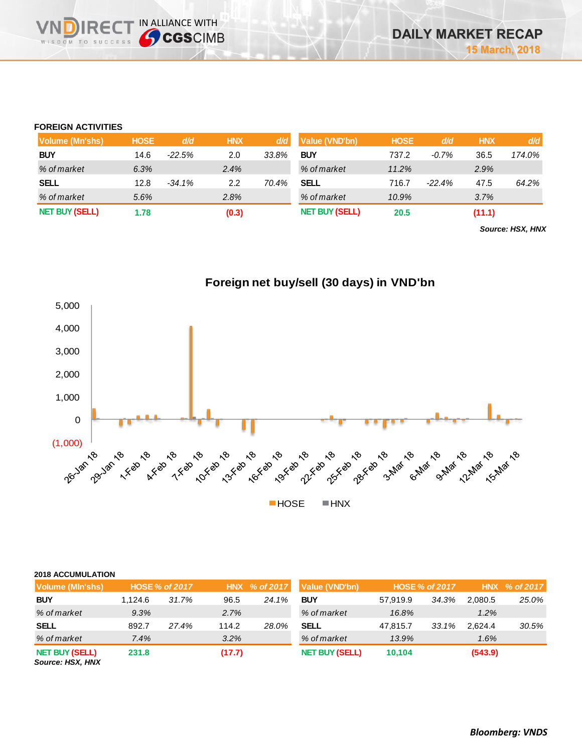# **FOREIGN ACTIVITIES**

**DIRE** WISDOM TO SUCCESS

IN ALLIANCE WITH

| Volume (Mn'shs)       | <b>HOSE</b> | d/d      | <b>HNX</b> | d/d   | Value (VND'bn)        | <b>HOSE</b> | d/d      | <b>HNX</b> | d/d    |
|-----------------------|-------------|----------|------------|-------|-----------------------|-------------|----------|------------|--------|
| <b>BUY</b>            | 14.6        | $-22.5%$ | 2.0        | 33.8% | <b>BUY</b>            | 737.2       | $-0.7\%$ | 36.5       | 174.0% |
| % of market           | 6.3%        |          | 2.4%       |       | % of market           | 11.2%       |          | 2.9%       |        |
| <b>SELL</b>           | 12.8        | $-34.1%$ | 2.2        | 70.4% | SELL                  | 716.7       | $-22.4%$ | 47.5       | 64.2%  |
| % of market           | 5.6%        |          | 2.8%       |       | % of market           | 10.9%       |          | 3.7%       |        |
| <b>NET BUY (SELL)</b> | 1.78        |          | (0.3)      |       | <b>NET BUY (SELL)</b> | 20.5        |          | (11.1)     |        |

*Source: HSX, HNX*



| <b>2018 ACCUMULATION</b>                  |                       |       |        |               |                       |          |                |         |               |
|-------------------------------------------|-----------------------|-------|--------|---------------|-----------------------|----------|----------------|---------|---------------|
| Volume (MIn'shs)                          | <b>HOSE % of 2017</b> |       |        | HNX % of 2017 | Value (VND'bn)        |          | HOSE % of 2017 |         | HNX % of 2017 |
| <b>BUY</b>                                | 1.124.6               | 31.7% | 96.5   | 24.1%         | <b>BUY</b>            | 57.919.9 | 34.3%          | 2.080.5 | 25.0%         |
| % of market                               | 9.3%                  |       | 2.7%   |               | % of market           | 16.8%    |                | 1.2%    |               |
| <b>SELL</b>                               | 892.7                 | 27.4% | 114.2  | 28.0%         | <b>SELL</b>           | 47,815.7 | 33.1%          | 2.624.4 | 30.5%         |
| % of market                               | 7.4%                  |       | 3.2%   |               | % of market           | 13.9%    |                | 1.6%    |               |
| <b>NET BUY (SELL)</b><br>Source: HSX, HNX | 231.8                 |       | (17.7) |               | <b>NET BUY (SELL)</b> | 10.104   |                | (543.9) |               |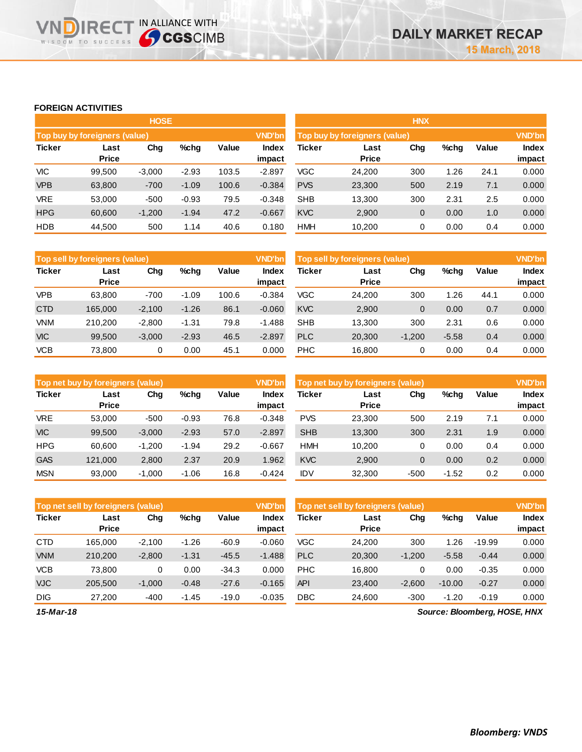## **FOREIGN ACTIVITIES**

**VNDIRECT IN ALLIANCE WITH** 

|            |                                      | <b>HOSE</b> |         |       |               | <b>HNX</b>                                       |              |     |      |      |              |  |
|------------|--------------------------------------|-------------|---------|-------|---------------|--------------------------------------------------|--------------|-----|------|------|--------------|--|
|            | <b>Top buy by foreigners (value)</b> |             |         |       | <b>VND'bn</b> | <b>VND'bn</b><br>Top buy by foreigners (value)   |              |     |      |      |              |  |
| Ticker     | Chg<br>%chg<br>Last                  |             |         | Value | Index         | $%$ chg<br>Value<br><b>Ticker</b><br>Chg<br>Last |              |     |      |      | <b>Index</b> |  |
|            | <b>Price</b>                         |             |         |       | impact        |                                                  | <b>Price</b> |     |      |      | impact       |  |
| VIC        | 99.500                               | $-3,000$    | $-2.93$ | 103.5 | $-2.897$      | VGC                                              | 24.200       | 300 | .26  | 24.1 | 0.000        |  |
| <b>VPB</b> | 63,800                               | $-700$      | $-1.09$ | 100.6 | $-0.384$      | <b>PVS</b>                                       | 23,300       | 500 | 2.19 | 7.1  | 0.000        |  |
| <b>VRE</b> | 53,000                               | $-500$      | $-0.93$ | 79.5  | $-0.348$      | <b>SHB</b>                                       | 13,300       | 300 | 2.31 | 2.5  | 0.000        |  |
| <b>HPG</b> | 60,600                               | $-1,200$    | $-1.94$ | 47.2  | $-0.667$      | <b>KVC</b>                                       | 2,900        | 0   | 0.00 | 1.0  | 0.000        |  |
| <b>HDB</b> | 44,500                               | 500         | 1.14    | 40.6  | 0.180         | <b>HMH</b>                                       | 10,200       | 0   | 0.00 | 0.4  | 0.000        |  |

|               | <b>VND'bn</b><br><b>Top sell by foreigners (value)</b> |          |         |       |                 |            | Top sell by foreigners (value) |          |         |       |                        |
|---------------|--------------------------------------------------------|----------|---------|-------|-----------------|------------|--------------------------------|----------|---------|-------|------------------------|
| <b>Ticker</b> | Last<br><b>Price</b>                                   | Chg      | %chq    | Value | Index<br>impact | Ticker     | Last<br><b>Price</b>           | Chg      | $%$ chg | Value | <b>Index</b><br>impact |
| <b>VPB</b>    | 63.800                                                 | $-700$   | $-1.09$ | 100.6 | $-0.384$        | <b>VGC</b> | 24,200                         | 300      | 1.26    | 44.1  | 0.000                  |
| <b>CTD</b>    | 165.000                                                | $-2,100$ | $-1.26$ | 86.1  | $-0.060$        | <b>KVC</b> | 2,900                          | 0        | 0.00    | 0.7   | 0.000                  |
| <b>VNM</b>    | 210.200                                                | $-2.800$ | $-1.31$ | 79.8  | $-1.488$        | <b>SHB</b> | 13.300                         | 300      | 2.31    | 0.6   | 0.000                  |
| <b>VIC</b>    | 99.500                                                 | $-3,000$ | $-2.93$ | 46.5  | $-2.897$        | <b>PLC</b> | 20,300                         | $-1,200$ | $-5.58$ | 0.4   | 0.000                  |
| <b>VCB</b>    | 73.800                                                 | 0        | 0.00    | 45.1  | 0.000           | <b>PHC</b> | 16.800                         | 0        | 0.00    | 0.4   | 0.000                  |

|               | Top net buy by foreigners (value) |          |         |       |                 | Top net buy by foreigners (value) |                      |        |         |       | <b>VND'bn</b>   |
|---------------|-----------------------------------|----------|---------|-------|-----------------|-----------------------------------|----------------------|--------|---------|-------|-----------------|
| <b>Ticker</b> | Last<br><b>Price</b>              | Chg      | %chg    | Value | Index<br>impact | <b>Ticker</b>                     | Last<br><b>Price</b> | Chg    | %chg    | Value | Index<br>impact |
| <b>VRE</b>    | 53,000                            | $-500$   | $-0.93$ | 76.8  | $-0.348$        | <b>PVS</b>                        | 23.300               | 500    | 2.19    | 7.1   | 0.000           |
| <b>VIC</b>    | 99.500                            | $-3,000$ | $-2.93$ | 57.0  | $-2.897$        | <b>SHB</b>                        | 13.300               | 300    | 2.31    | 1.9   | 0.000           |
| <b>HPG</b>    | 60.600                            | $-1.200$ | $-1.94$ | 29.2  | $-0.667$        | <b>HMH</b>                        | 10.200               | 0      | 0.00    | 0.4   | 0.000           |
| <b>GAS</b>    | 121,000                           | 2,800    | 2.37    | 20.9  | 1.962           | <b>KVC</b>                        | 2,900                | 0      | 0.00    | 0.2   | 0.000           |
| <b>MSN</b>    | 93.000                            | $-1.000$ | $-1.06$ | 16.8  | $-0.424$        | IDV                               | 32,300               | $-500$ | $-1.52$ | 0.2   | 0.000           |

|               | <b>VND'bn</b><br>Top net sell by foreigners (value) |          |         |         |                 | Top net sell by foreigners (value) |                      |          |          |          | <b>VND'bn</b>          |
|---------------|-----------------------------------------------------|----------|---------|---------|-----------------|------------------------------------|----------------------|----------|----------|----------|------------------------|
| <b>Ticker</b> | Last<br><b>Price</b>                                | Chg      | $%$ chg | Value   | Index<br>impact | Ticker                             | Last<br><b>Price</b> | Chg      | %chg     | Value    | <b>Index</b><br>impact |
| <b>CTD</b>    | 165.000                                             | $-2.100$ | $-1.26$ | $-60.9$ | $-0.060$        | <b>VGC</b>                         | 24.200               | 300      | 1.26     | $-19.99$ | 0.000                  |
| <b>VNM</b>    | 210,200                                             | $-2,800$ | $-1.31$ | $-45.5$ | $-1.488$        | <b>PLC</b>                         | 20,300               | $-1,200$ | $-5.58$  | $-0.44$  | 0.000                  |
| <b>VCB</b>    | 73.800                                              | 0        | 0.00    | $-34.3$ | 0.000           | <b>PHC</b>                         | 16.800               | 0        | 0.00     | $-0.35$  | 0.000                  |
| <b>VJC</b>    | 205.500                                             | $-1.000$ | $-0.48$ | $-27.6$ | $-0.165$        | <b>API</b>                         | 23,400               | $-2,600$ | $-10.00$ | $-0.27$  | 0.000                  |
| <b>DIG</b>    | 27,200                                              | $-400$   | $-1.45$ | $-19.0$ | $-0.035$        | <b>DBC</b>                         | 24,600               | $-300$   | $-1.20$  | $-0.19$  | 0.000                  |

*15-Mar-18*

*Source: Bloomberg, HOSE, HNX*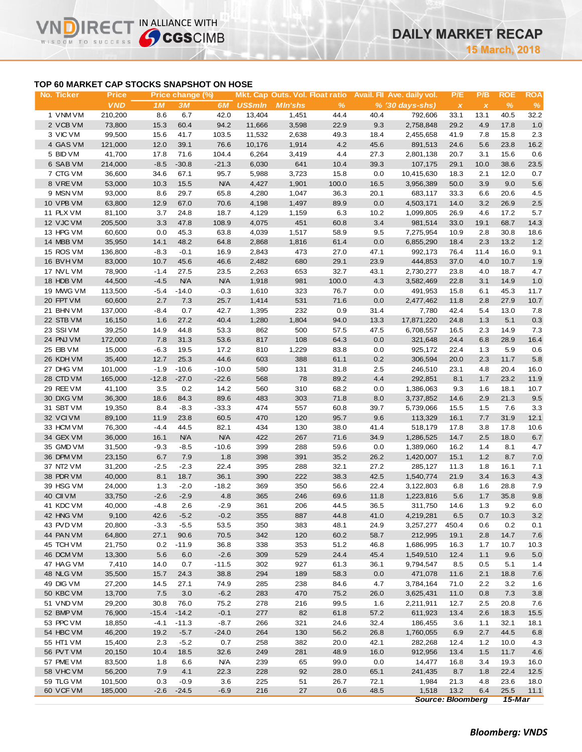# **TOP 60 MARKET CAP STOCKS SNAPSHOT ON HOSE**

**IRECT IN ALLIANCE WITH** 

ח

WISDOM TO SUCCESS

| No. Ticker | <b>Price</b> |         | Price change (%) |            |                |                 |               |      | Mkt. Cap Outs. Vol. Float ratio Avail. Fil Ave. daily vol. | P/E                       | P/B          | <b>ROE</b> | <b>ROA</b> |
|------------|--------------|---------|------------------|------------|----------------|-----------------|---------------|------|------------------------------------------------------------|---------------------------|--------------|------------|------------|
|            | <b>VND</b>   | 1M      | 3M               | 6M         | <b>US\$mln</b> | <b>M</b> In'shs | $\frac{9}{6}$ |      | % (30 days-shs)                                            | $\boldsymbol{\mathsf{x}}$ | $\pmb{\chi}$ | %          | $\%$       |
| 1 VNM VM   | 210,200      | 8.6     | 6.7              | 42.0       | 13,404         | 1,451           | 44.4          | 40.4 | 792,606                                                    | 33.1                      | 13.1         | 40.5       | 32.2       |
| 2 VCB VM   | 73,800       | 15.3    | 60.4             | 94.2       | 11,666         | 3,598           | 22.9          | 9.3  | 2,758,848                                                  | 29.2                      | 4.9          | 17.8       | $1.0$      |
| 3 VIC VM   | 99,500       | 15.6    | 41.7             | 103.5      | 11,532         | 2,638           | 49.3          | 18.4 | 2,455,658                                                  | 41.9                      | 7.8          | 15.8       | 2.3        |
| 4 GAS VM   | 121,000      | 12.0    | 39.1             | 76.6       | 10,176         | 1,914           | 4.2           | 45.6 | 891,513                                                    | 24.6                      | 5.6          | 23.8       | 16.2       |
| 5 BID VM   | 41,700       | 17.8    | 71.6             | 104.4      | 6,264          | 3,419           | 4.4           | 27.3 | 2,801,138                                                  | 20.7                      | 3.1          | 15.6       | 0.6        |
| 6 SAB VM   | 214,000      | $-8.5$  | $-30.8$          | $-21.3$    | 6,030          | 641             | 10.4          | 39.3 | 107,175                                                    | 29.1                      | 10.0         | 38.6       | 23.5       |
| 7 CTG VM   | 36,600       | 34.6    | 67.1             | 95.7       | 5,988          | 3,723           | 15.8          | 0.0  | 10,415,630                                                 | 18.3                      | 2.1          | 12.0       | 0.7        |
| 8 VREVM    | 53,000       | 10.3    | 15.5             | <b>N/A</b> | 4,427          | 1,901           | 100.0         | 16.5 | 3,956,389                                                  | 50.0                      | 3.9          | 9.0        | 5.6        |
| 9 MSN VM   | 93,000       | 8.6     | 29.7             | 65.8       | 4,280          | 1,047           | 36.3          | 20.1 | 683,117                                                    | 33.3                      | 6.6          | 20.6       | 4.5        |
| 10 VPB VM  | 63,800       | 12.9    | 67.0             | 70.6       | 4,198          | 1,497           | 89.9          | 0.0  | 4,503,171                                                  | 14.0                      | 3.2          | 26.9       | 2.5        |
| 11 PLX VM  | 81,100       | 3.7     | 24.8             | 18.7       | 4,129          | 1,159           | 6.3           | 10.2 | 1,099,805                                                  | 26.9                      | 4.6          | 17.2       | 5.7        |
| 12 VJC VM  | 205,500      | 3.3     | 47.8             | 108.9      | 4,075          | 451             | 60.8          | 3.4  | 981,514                                                    | 33.0                      | 19.1         | 68.7       | 14.3       |
|            |              | 0.0     |                  |            |                |                 |               |      |                                                            |                           |              |            |            |
| 13 HPG VM  | 60,600       |         | 45.3             | 63.8       | 4,039          | 1,517           | 58.9          | 9.5  | 7,275,954                                                  | 10.9                      | 2.8          | 30.8       | 18.6       |
| 14 MBB VM  | 35,950       | 14.1    | 48.2             | 64.8       | 2,868          | 1,816           | 61.4          | 0.0  | 6,855,290                                                  | 18.4                      | 2.3          | 13.2       | 1.2        |
| 15 ROS VM  | 136,800      | $-8.3$  | $-0.1$           | 16.9       | 2,843          | 473             | 27.0          | 47.1 | 992,173                                                    | 76.4                      | 11.4         | 16.0       | 9.1        |
| 16 BVHVM   | 83,000       | 10.7    | 45.6             | 46.6       | 2,482          | 680             | 29.1          | 23.9 | 444,853                                                    | 37.0                      | 4.0          | 10.7       | 1.9        |
| 17 NVL VM  | 78,900       | $-1.4$  | 27.5             | 23.5       | 2,263          | 653             | 32.7          | 43.1 | 2,730,277                                                  | 23.8                      | 4.0          | 18.7       | 4.7        |
| 18 HDB VM  | 44,500       | $-4.5$  | N/A              | <b>N/A</b> | 1,918          | 981             | 100.0         | 4.3  | 3,582,469                                                  | 22.8                      | 3.1          | 14.9       | 1.0        |
| 19 MWG VM  | 113,500      | $-5.4$  | $-14.0$          | $-0.3$     | 1,610          | 323             | 76.7          | 0.0  | 491,953                                                    | 15.8                      | 6.1          | 45.3       | 11.7       |
| 20 FPT VM  | 60,600       | 2.7     | 7.3              | 25.7       | 1,414          | 531             | 71.6          | 0.0  | 2,477,462                                                  | 11.8                      | 2.8          | 27.9       | 10.7       |
| 21 BHN VM  | 137,000      | $-8.4$  | 0.7              | 42.7       | 1,395          | 232             | 0.9           | 31.4 | 7,780                                                      | 42.4                      | 5.4          | 13.0       | 7.8        |
| 22 STB VM  | 16,150       | 1.6     | 27.2             | 40.4       | 1,280          | 1,804           | 94.0          | 13.3 | 17,871,220                                                 | 24.8                      | 1.3          | 5.1        | 0.3        |
| 23 SSIVM   | 39,250       | 14.9    | 44.8             | 53.3       | 862            | 500             | 57.5          | 47.5 | 6,708,557                                                  | 16.5                      | 2.3          | 14.9       | 7.3        |
| 24 PNJ VM  | 172,000      | 7.8     | 31.3             | 53.6       | 817            | 108             | 64.3          | 0.0  | 321,648                                                    | 24.4                      | 6.8          | 28.9       | 16.4       |
| 25 EIB VM  | 15,000       | $-6.3$  | 19.5             | 17.2       | 810            | 1,229           | 83.8          | 0.0  | 925,172                                                    | 22.4                      | 1.3          | 5.9        | 0.6        |
| 26 KDH VM  | 35,400       | 12.7    | 25.3             | 44.6       | 603            | 388             | 61.1          | 0.2  | 306,594                                                    | 20.0                      | 2.3          | 11.7       | 5.8        |
| 27 DHG VM  | 101,000      | $-1.9$  | $-10.6$          | $-10.0$    | 580            | 131             | 31.8          | 2.5  | 246,510                                                    | 23.1                      | 4.8          | 20.4       | 16.0       |
| 28 CTD VM  | 165,000      | $-12.8$ | $-27.0$          | $-22.6$    | 568            | 78              | 89.2          | 4.4  | 292,851                                                    | 8.1                       | 1.7          | 23.2       | 11.9       |
| 29 REE VM  | 41,100       | 3.5     | 0.2              | 14.2       | 560            | 310             | 68.2          | 0.0  | 1,386,063                                                  | 9.3                       | 1.6          | 18.1       | 10.7       |
| 30 DXG VM  | 36,300       | 18.6    | 84.3             | 89.6       | 483            | 303             | 71.8          | 8.0  | 3,737,852                                                  | 14.6                      | 2.9          | 21.3       | 9.5        |
| 31 SBT VM  | 19,350       | 8.4     | $-8.3$           | $-33.3$    | 474            | 557             | 60.8          | 39.7 | 5,739,066                                                  | 15.5                      | 1.5          | 7.6        | 3.3        |
| 32 VCIVM   | 89,100       | 11.9    | 23.8             | 60.5       | 470            | 120             | 95.7          | 9.6  | 113,329                                                    | 16.1                      | 7.7          | 31.9       | 12.1       |
| 33 HCM VM  | 76,300       | $-4.4$  | 44.5             | 82.1       | 434            | 130             | 38.0          | 41.4 | 518,179                                                    | 17.8                      | 3.8          | 17.8       | 10.6       |
| 34 GEX VM  | 36,000       | 16.1    | <b>N/A</b>       | <b>N/A</b> | 422            | 267             | 71.6          | 34.9 | 1,286,525                                                  | 14.7                      | 2.5          | 18.0       | 6.7        |
| 35 GMD VM  | 31,500       | $-9.3$  | $-8.5$           | $-10.6$    | 399            | 288             | 59.6          | 0.0  | 1,389,060                                                  | 16.2                      | 1.4          | 8.1        | 4.7        |
| 36 DPM VM  | 23,150       | 6.7     | 7.9              | 1.8        | 398            | 391             | 35.2          | 26.2 | 1,420,007                                                  | 15.1                      | 1.2          | 8.7        | $7.0$      |
| 37 NT2 VM  | 31,200       | $-2.5$  | $-2.3$           | 22.4       | 395            | 288             | 32.1          | 27.2 | 285,127                                                    | 11.3                      | 1.8          | 16.1       | 7.1        |
| 38 PDR VM  | 40,000       | 8.1     | 18.7             | 36.1       | 390            | 222             | 38.3          | 42.5 | 1,540,774                                                  | 21.9                      | 3.4          | 16.3       | 4.3        |
| 39 HSG VM  | 24,000       | 1.3     | $-2.0$           | $-18.2$    | 369            | 350             | 56.6          | 22.4 | 3,122,803                                                  | 6.8                       | 1.6          | 28.8       | 7.9        |
| 40 CII VM  | 33,750       | $-2.6$  | $-2.9$           | 4.8        | 365            | 246             | 69.6          | 11.8 | 1,223,816                                                  | 5.6                       | 1.7          | 35.8       | 9.8        |
| 41 KDC VM  | 40,000       | $-4.8$  | 2.6              | $-2.9$     | 361            | 206             | 44.5          | 36.5 | 311,750                                                    | 14.6                      | 1.3          | 9.2        | 6.0        |
| 42 HNG VM  | 9,100        | 42.6    | $-5.2$           | $-0.2$     | 355            | 887             | 44.8          | 41.0 | 4,219,281                                                  | 6.5                       | 0.7          | 10.3       | $3.2\,$    |
| 43 PVD VM  | 20,800       | $-3.3$  | $-5.5$           | 53.5       | 350            | 383             | 48.1          | 24.9 | 3,257,277 450.4                                            |                           | 0.6          | 0.2        | 0.1        |
| 44 PAN VM  | 64,800       | 27.1    | 90.6             | 70.5       | 342            | 120             | 60.2          | 58.7 | 212,995                                                    | 19.1                      | 2.8          | 14.7       | $7.6$      |
| 45 TCH VM  | 21,750       | 0.2     | $-11.9$          | 36.8       | 338            | 353             | 51.2          | 46.8 | 1,686,995                                                  | 16.3                      | 1.7          | 10.7       | 10.3       |
| 46 DCM VM  | 13,300       | 5.6     | 6.0              | $-2.6$     | 309            | 529             | 24.4          | 45.4 | 1,549,510                                                  | 12.4                      | 1.1          | 9.6        | 5.0        |
| 47 HAG VM  | 7,410        | 14.0    | 0.7              | $-11.5$    | 302            | 927             | 61.3          | 36.1 | 9,794,547                                                  | 8.5                       | 0.5          | 5.1        | 1.4        |
| 48 NLG VM  | 35,500       | 15.7    | 24.3             | 38.8       | 294            | 189             | 58.3          | 0.0  | 471,078                                                    | 11.6                      | 2.1          | 18.8       | 7.6        |
| 49 DIG VM  | 27,200       |         |                  |            | 285            | 238             |               |      |                                                            |                           |              |            |            |
|            |              | 14.5    | 27.1             | 74.9       |                |                 | 84.6          | 4.7  | 3,784,164                                                  | 71.0                      | 2.2          | 3.2        | 1.6        |
| 50 KBC VM  | 13,700       | 7.5     | 3.0              | $-6.2$     | 283            | 470             | 75.2          | 26.0 | 3,625,431                                                  | 11.0                      | 0.8          | 7.3        | 3.8        |
| 51 VND VM  | 29,200       | 30.8    | 76.0             | 75.2       | 278            | 216             | 99.5          | 1.6  | 2,211,911                                                  | 12.7                      | 2.5          | 20.8       | 7.6        |
| 52 BMP VM  | 76,900       | $-15.4$ | $-14.2$          | $-0.1$     | 277            | 82              | 61.8          | 57.2 | 611,923                                                    | 13.4                      | 2.6          | 18.3       | 15.5       |
| 53 PPC VM  | 18,850       | $-4.1$  | $-11.3$          | $-8.7$     | 266            | 321             | 24.6          | 32.4 | 186,455                                                    | 3.6                       | 1.1          | 32.1       | 18.1       |
| 54 HBC VM  | 46,200       | 19.2    | $-5.7$           | $-24.0$    | 264            | 130             | 56.2          | 26.8 | 1,760,055                                                  | 6.9                       | 2.7          | 44.5       | 6.8        |
| 55 HT1 VM  | 15,400       | 2.3     | $-5.2$           | 0.7        | 258            | 382             | 20.0          | 42.1 | 282,268                                                    | 12.4                      | $1.2$        | 10.0       | 4.3        |
| 56 PVT VM  | 20,150       | 10.4    | 18.5             | 32.6       | 249            | 281             | 48.9          | 16.0 | 912,956                                                    | 13.4                      | 1.5          | 11.7       | 4.6        |
| 57 PME VM  | 83,500       | 1.8     | 6.6              | <b>N/A</b> | 239            | 65              | 99.0          | 0.0  | 14,477                                                     | 16.8                      | 3.4          | 19.3       | 16.0       |
| 58 VHC VM  | 56,200       | 7.9     | 4.1              | 22.3       | 228            | 92              | 28.0          | 65.1 | 241,435                                                    | 8.7                       | 1.8          | 22.4       | 12.5       |
| 59 TLG VM  | 101,500      | 0.3     | $-0.9$           | 3.6        | 225            | 51              | 26.7          | 72.1 | 1,984                                                      | 21.3                      | 4.8          | 23.6       | 18.0       |
| 60 VCF VM  | 185,000      | $-2.6$  | $-24.5$          | $-6.9$     | 216            | 27              | 0.6           | 48.5 | 1,518                                                      | 13.2                      | 6.4          | 25.5       | 11.1       |
|            |              |         |                  |            |                |                 |               |      | <b>Source: Bloomberg</b>                                   |                           |              | 15-Mar     |            |